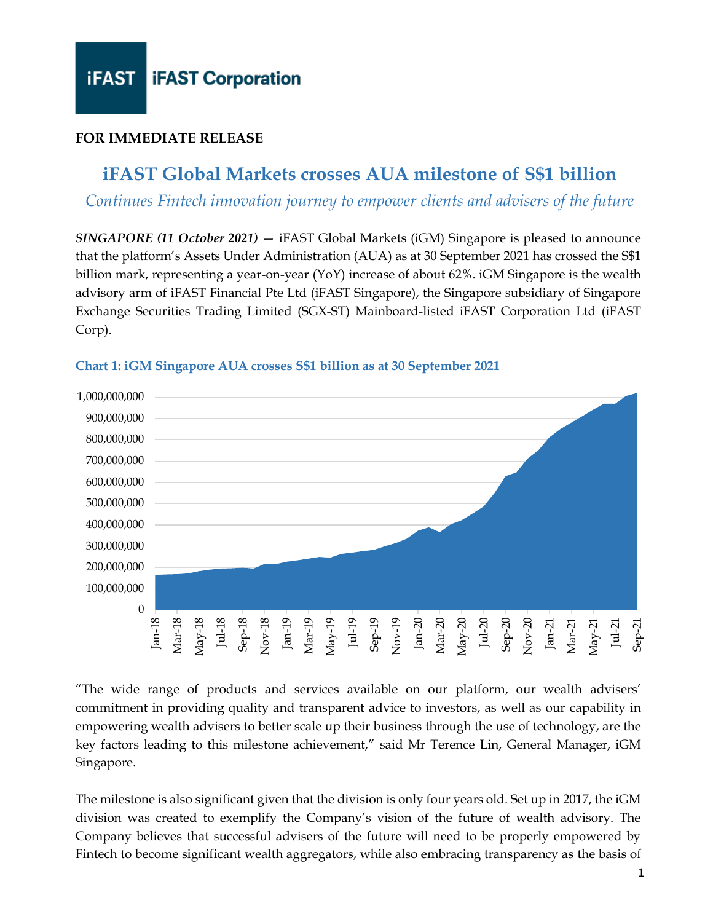#### **FOR IMMEDIATE RELEASE**

### **iFAST Global Markets crosses AUA milestone of S\$1 billion**

*Continues Fintech innovation journey to empower clients and advisers of the future*

*SINGAPORE (11 October 2021)* — iFAST Global Markets (iGM) Singapore is pleased to announce that the platform's Assets Under Administration (AUA) as at 30 September 2021 has crossed the S\$1 billion mark, representing a year-on-year (YoY) increase of about 62%. iGM Singapore is the wealth advisory arm of iFAST Financial Pte Ltd (iFAST Singapore), the Singapore subsidiary of Singapore Exchange Securities Trading Limited (SGX-ST) Mainboard-listed iFAST Corporation Ltd (iFAST Corp).



#### **Chart 1: iGM Singapore AUA crosses S\$1 billion as at 30 September 2021**

"The wide range of products and services available on our platform, our wealth advisers' commitment in providing quality and transparent advice to investors, as well as our capability in empowering wealth advisers to better scale up their business through the use of technology, are the key factors leading to this milestone achievement," said Mr Terence Lin, General Manager, iGM Singapore.

The milestone is also significant given that the division is only four years old. Set up in 2017, the iGM division was created to exemplify the Company's vision of the future of wealth advisory. The Company believes that successful advisers of the future will need to be properly empowered by Fintech to become significant wealth aggregators, while also embracing transparency as the basis of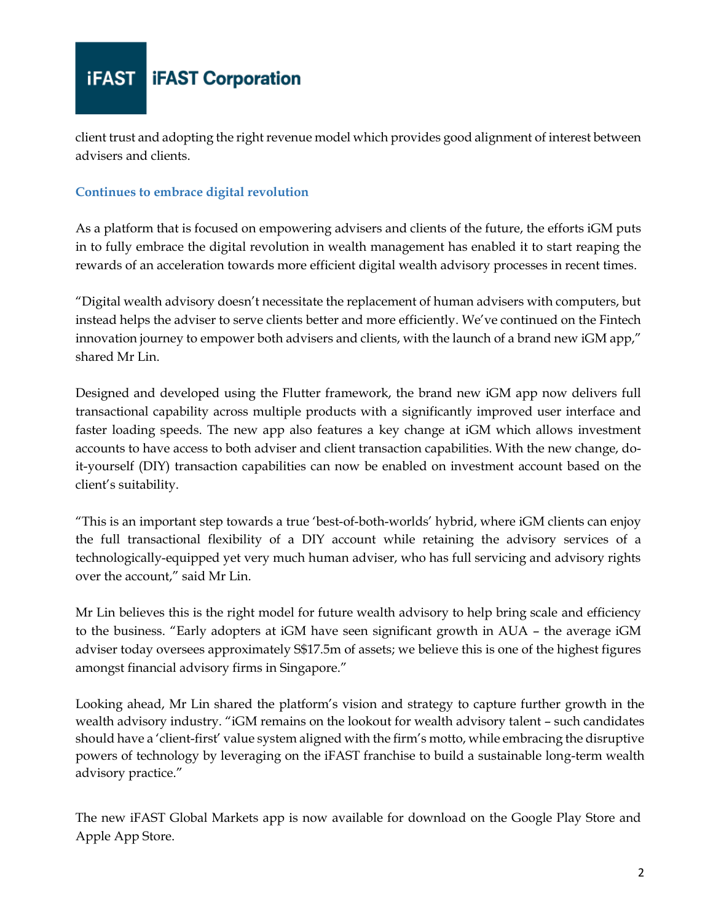# **iFAST iFAST** Corporation

client trust and adopting the right revenue model which provides good alignment of interest between advisers and clients.

#### **Continues to embrace digital revolution**

As a platform that is focused on empowering advisers and clients of the future, the efforts iGM puts in to fully embrace the digital revolution in wealth management has enabled it to start reaping the rewards of an acceleration towards more efficient digital wealth advisory processes in recent times.

"Digital wealth advisory doesn't necessitate the replacement of human advisers with computers, but instead helps the adviser to serve clients better and more efficiently. We've continued on the Fintech innovation journey to empower both advisers and clients, with the launch of a brand new iGM app," shared Mr Lin.

Designed and developed using the Flutter framework, the brand new iGM app now delivers full transactional capability across multiple products with a significantly improved user interface and faster loading speeds. The new app also features a key change at iGM which allows investment accounts to have access to both adviser and client transaction capabilities. With the new change, doit-yourself (DIY) transaction capabilities can now be enabled on investment account based on the client's suitability.

"This is an important step towards a true 'best-of-both-worlds' hybrid, where iGM clients can enjoy the full transactional flexibility of a DIY account while retaining the advisory services of a technologically-equipped yet very much human adviser, who has full servicing and advisory rights over the account," said Mr Lin.

Mr Lin believes this is the right model for future wealth advisory to help bring scale and efficiency to the business. "Early adopters at iGM have seen significant growth in AUA – the average iGM adviser today oversees approximately S\$17.5m of assets; we believe this is one of the highest figures amongst financial advisory firms in Singapore."

Looking ahead, Mr Lin shared the platform's vision and strategy to capture further growth in the wealth advisory industry. "iGM remains on the lookout for wealth advisory talent – such candidates should have a 'client-first' value system aligned with the firm's motto, while embracing the disruptive powers of technology by leveraging on the iFAST franchise to build a sustainable long-term wealth advisory practice."

The new iFAST Global Markets app is now available for download on the Google Play Store and Apple App Store.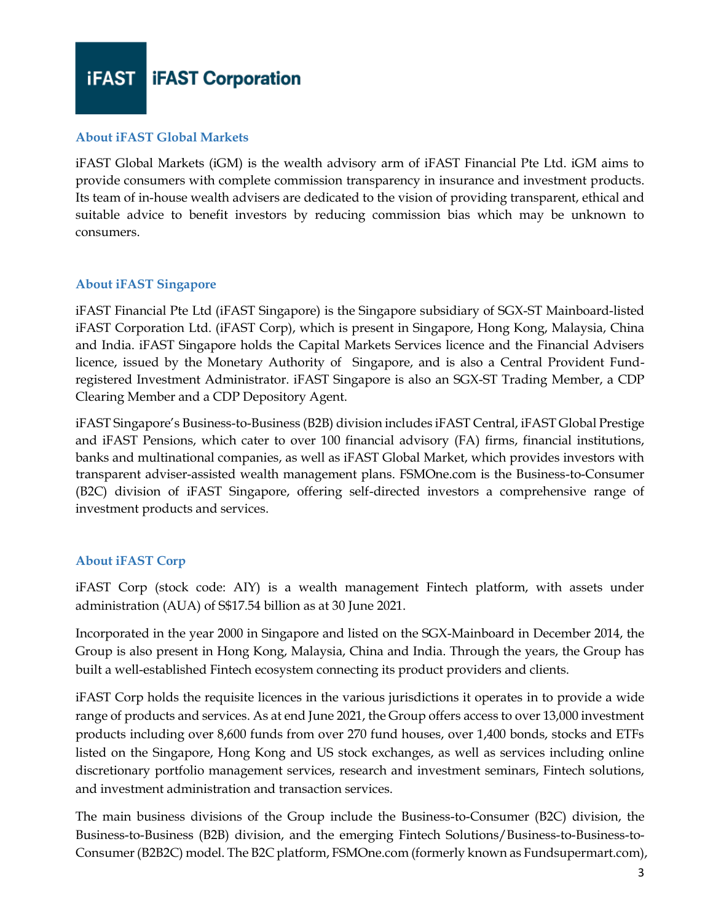**iFAST iFAST** Corporation

#### **About iFAST Global Markets**

iFAST Global Markets (iGM) is the wealth advisory arm of iFAST Financial Pte Ltd. iGM aims to provide consumers with complete commission transparency in insurance and investment products. Its team of in-house wealth advisers are dedicated to the vision of providing transparent, ethical and suitable advice to benefit investors by reducing commission bias which may be unknown to consumers.

#### **About iFAST Singapore**

iFAST Financial Pte Ltd (iFAST Singapore) is the Singapore subsidiary of SGX-ST Mainboard-listed iFAST Corporation Ltd. (iFAST Corp), which is present in Singapore, Hong Kong, Malaysia, China and India. iFAST Singapore holds the Capital Markets Services licence and the Financial Advisers licence, issued by the Monetary Authority of Singapore, and is also a Central Provident Fundregistered Investment Administrator. iFAST Singapore is also an SGX-ST Trading Member, a CDP Clearing Member and a CDP Depository Agent.

iFAST Singapore's Business-to-Business (B2B) division includes iFAST Central, iFAST Global Prestige and iFAST Pensions, which cater to over 100 financial advisory (FA) firms, financial institutions, banks and multinational companies, as well as iFAST Global Market, which provides investors with transparent adviser-assisted wealth management plans. FSMOne.com is the Business-to-Consumer (B2C) division of iFAST Singapore, offering self-directed investors a comprehensive range of investment products and services.

#### **About iFAST Corp**

iFAST Corp (stock code: AIY) is a wealth management Fintech platform, with assets under administration (AUA) of S\$17.54 billion as at 30 June 2021.

Incorporated in the year 2000 in Singapore and listed on the SGX-Mainboard in December 2014, the Group is also present in Hong Kong, Malaysia, China and India. Through the years, the Group has built a well-established Fintech ecosystem connecting its product providers and clients.

iFAST Corp holds the requisite licences in the various jurisdictions it operates in to provide a wide range of products and services. As at end June 2021, the Group offers access to over 13,000 investment products including over 8,600 funds from over 270 fund houses, over 1,400 bonds, stocks and ETFs listed on the Singapore, Hong Kong and US stock exchanges, as well as services including online discretionary portfolio management services, research and investment seminars, Fintech solutions, and investment administration and transaction services.

The main business divisions of the Group include the Business-to-Consumer (B2C) division, the Business-to-Business (B2B) division, and the emerging Fintech Solutions/Business-to-Business-to-Consumer (B2B2C) model. The B2C platform, FSMOne.com (formerly known as Fundsupermart.com),